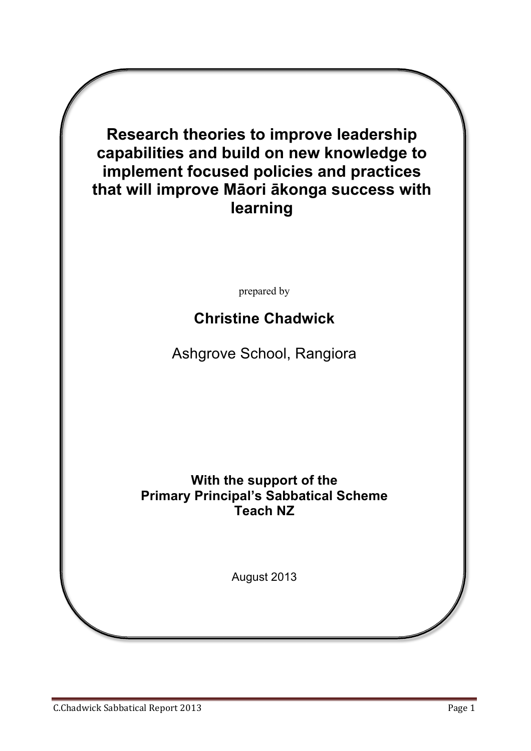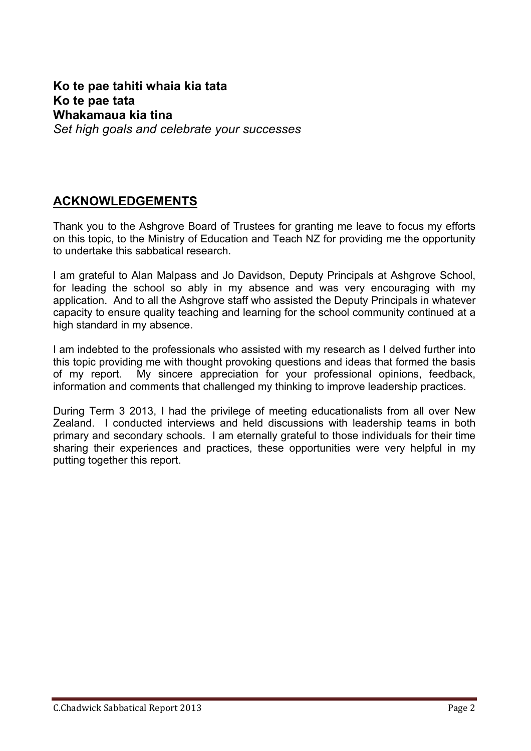## **Ko te pae tahiti whaia kia tata Ko te pae tata Whakamaua kia tina** *Set high goals and celebrate your successes*

# **ACKNOWLEDGEMENTS**

Thank you to the Ashgrove Board of Trustees for granting me leave to focus my efforts on this topic, to the Ministry of Education and Teach NZ for providing me the opportunity to undertake this sabbatical research.

I am grateful to Alan Malpass and Jo Davidson, Deputy Principals at Ashgrove School, for leading the school so ably in my absence and was very encouraging with my application. And to all the Ashgrove staff who assisted the Deputy Principals in whatever capacity to ensure quality teaching and learning for the school community continued at a high standard in my absence.

I am indebted to the professionals who assisted with my research as I delved further into this topic providing me with thought provoking questions and ideas that formed the basis of my report. My sincere appreciation for your professional opinions, feedback, information and comments that challenged my thinking to improve leadership practices.

During Term 3 2013, I had the privilege of meeting educationalists from all over New Zealand. I conducted interviews and held discussions with leadership teams in both primary and secondary schools. I am eternally grateful to those individuals for their time sharing their experiences and practices, these opportunities were very helpful in my putting together this report.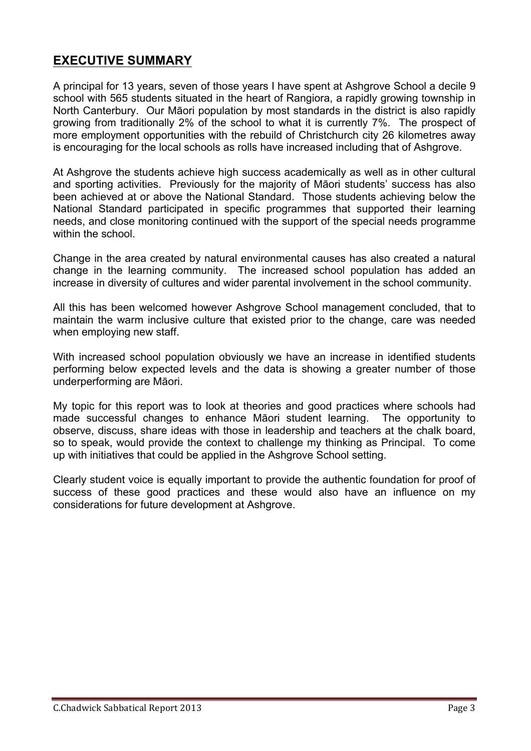# **EXECUTIVE SUMMARY**

A principal for 13 years, seven of those years I have spent at Ashgrove School a decile 9 school with 565 students situated in the heart of Rangiora, a rapidly growing township in North Canterbury. Our Māori population by most standards in the district is also rapidly growing from traditionally 2% of the school to what it is currently 7%. The prospect of more employment opportunities with the rebuild of Christchurch city 26 kilometres away is encouraging for the local schools as rolls have increased including that of Ashgrove.

At Ashgrove the students achieve high success academically as well as in other cultural and sporting activities. Previously for the majority of Māori students' success has also been achieved at or above the National Standard. Those students achieving below the National Standard participated in specific programmes that supported their learning needs, and close monitoring continued with the support of the special needs programme within the school

Change in the area created by natural environmental causes has also created a natural change in the learning community. The increased school population has added an increase in diversity of cultures and wider parental involvement in the school community.

All this has been welcomed however Ashgrove School management concluded, that to maintain the warm inclusive culture that existed prior to the change, care was needed when employing new staff.

With increased school population obviously we have an increase in identified students performing below expected levels and the data is showing a greater number of those underperforming are Māori.

My topic for this report was to look at theories and good practices where schools had made successful changes to enhance Māori student learning. The opportunity to observe, discuss, share ideas with those in leadership and teachers at the chalk board, so to speak, would provide the context to challenge my thinking as Principal. To come up with initiatives that could be applied in the Ashgrove School setting.

Clearly student voice is equally important to provide the authentic foundation for proof of success of these good practices and these would also have an influence on my considerations for future development at Ashgrove.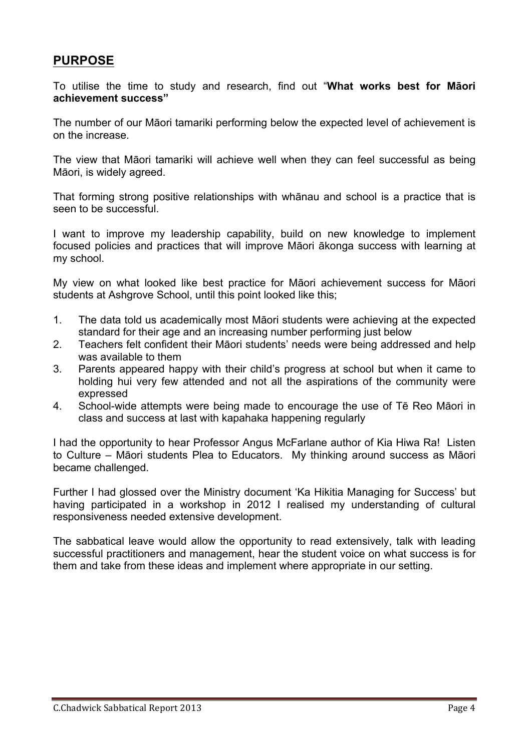### **PURPOSE**

To utilise the time to study and research, find out "**What works best for Māori achievement success"**

The number of our Māori tamariki performing below the expected level of achievement is on the increase.

The view that Māori tamariki will achieve well when they can feel successful as being Māori, is widely agreed.

That forming strong positive relationships with whānau and school is a practice that is seen to be successful.

I want to improve my leadership capability, build on new knowledge to implement focused policies and practices that will improve Māori ākonga success with learning at my school.

My view on what looked like best practice for Māori achievement success for Māori students at Ashgrove School, until this point looked like this;

- 1. The data told us academically most Māori students were achieving at the expected standard for their age and an increasing number performing just below
- 2. Teachers felt confident their Māori students' needs were being addressed and help was available to them
- 3. Parents appeared happy with their child's progress at school but when it came to holding hui very few attended and not all the aspirations of the community were expressed
- 4. School-wide attempts were being made to encourage the use of Tē Reo Māori in class and success at last with kapahaka happening regularly

I had the opportunity to hear Professor Angus McFarlane author of Kia Hiwa Ra! Listen to Culture – Māori students Plea to Educators. My thinking around success as Māori became challenged.

Further I had glossed over the Ministry document 'Ka Hikitia Managing for Success' but having participated in a workshop in 2012 I realised my understanding of cultural responsiveness needed extensive development.

The sabbatical leave would allow the opportunity to read extensively, talk with leading successful practitioners and management, hear the student voice on what success is for them and take from these ideas and implement where appropriate in our setting.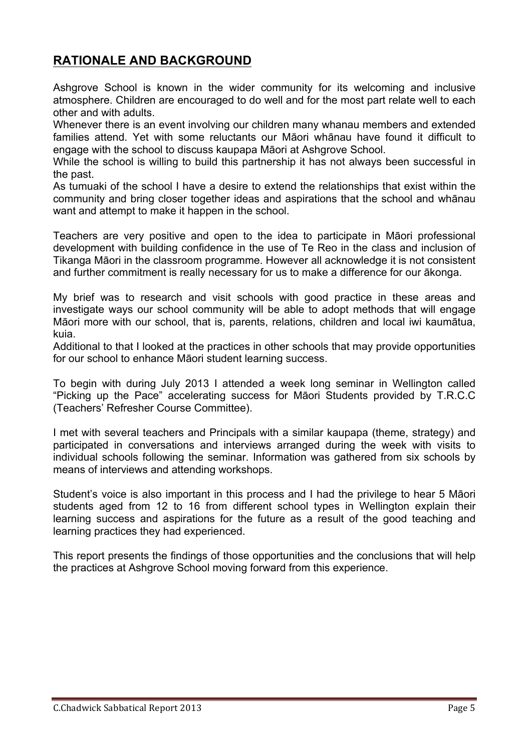# **RATIONALE AND BACKGROUND**

Ashgrove School is known in the wider community for its welcoming and inclusive atmosphere. Children are encouraged to do well and for the most part relate well to each other and with adults.

Whenever there is an event involving our children many whanau members and extended families attend. Yet with some reluctants our Māori whānau have found it difficult to engage with the school to discuss kaupapa Māori at Ashgrove School.

While the school is willing to build this partnership it has not always been successful in the past.

As tumuaki of the school I have a desire to extend the relationships that exist within the community and bring closer together ideas and aspirations that the school and whānau want and attempt to make it happen in the school.

Teachers are very positive and open to the idea to participate in Māori professional development with building confidence in the use of Te Reo in the class and inclusion of Tikanga Māori in the classroom programme. However all acknowledge it is not consistent and further commitment is really necessary for us to make a difference for our ākonga.

My brief was to research and visit schools with good practice in these areas and investigate ways our school community will be able to adopt methods that will engage Māori more with our school, that is, parents, relations, children and local iwi kaumātua, kuia.

Additional to that I looked at the practices in other schools that may provide opportunities for our school to enhance Māori student learning success.

To begin with during July 2013 I attended a week long seminar in Wellington called "Picking up the Pace" accelerating success for Māori Students provided by T.R.C.C (Teachers' Refresher Course Committee).

I met with several teachers and Principals with a similar kaupapa (theme, strategy) and participated in conversations and interviews arranged during the week with visits to individual schools following the seminar. Information was gathered from six schools by means of interviews and attending workshops.

Student's voice is also important in this process and I had the privilege to hear 5 Māori students aged from 12 to 16 from different school types in Wellington explain their learning success and aspirations for the future as a result of the good teaching and learning practices they had experienced.

This report presents the findings of those opportunities and the conclusions that will help the practices at Ashgrove School moving forward from this experience.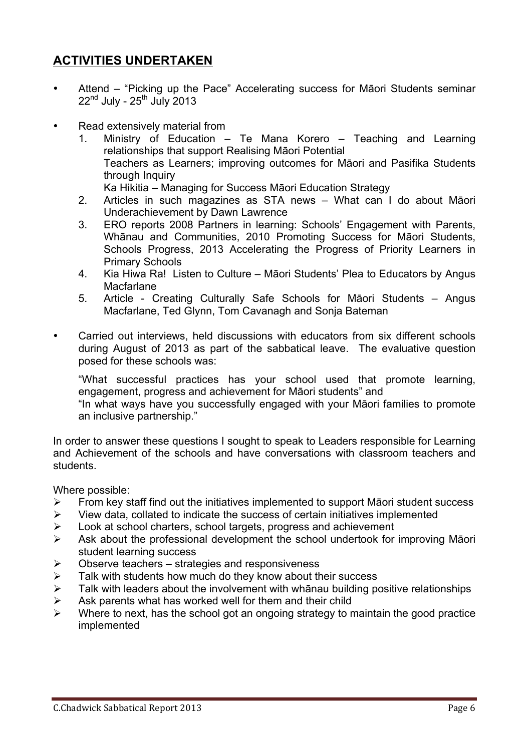## **ACTIVITIES UNDERTAKEN**

- Attend "Picking up the Pace" Accelerating success for Māori Students seminar  $22^{nd}$  July -  $25^{th}$  July 2013
- Read extensively material from
	- 1. Ministry of Education Te Mana Korero Teaching and Learning relationships that support Realising Māori Potential Teachers as Learners; improving outcomes for Māori and Pasifika Students through Inquiry Ka Hikitia – Managing for Success Māori Education Strategy
	- 2. Articles in such magazines as STA news What can I do about Māori Underachievement by Dawn Lawrence
	- 3. ERO reports 2008 Partners in learning: Schools' Engagement with Parents, Whānau and Communities, 2010 Promoting Success for Māori Students, Schools Progress, 2013 Accelerating the Progress of Priority Learners in Primary Schools
	- 4. Kia Hiwa Ra! Listen to Culture Māori Students' Plea to Educators by Angus Macfarlane
	- 5. Article Creating Culturally Safe Schools for Māori Students Angus Macfarlane, Ted Glynn, Tom Cavanagh and Sonja Bateman
- Carried out interviews, held discussions with educators from six different schools during August of 2013 as part of the sabbatical leave. The evaluative question posed for these schools was:

"What successful practices has your school used that promote learning, engagement, progress and achievement for Māori students" and

"In what ways have you successfully engaged with your Māori families to promote an inclusive partnership."

In order to answer these questions I sought to speak to Leaders responsible for Learning and Achievement of the schools and have conversations with classroom teachers and students.

Where possible:

- $\triangleright$  From key staff find out the initiatives implemented to support Māori student success
- $\triangleright$  View data, collated to indicate the success of certain initiatives implemented
- $\triangleright$  Look at school charters, school targets, progress and achievement
- $\triangleright$  Ask about the professional development the school undertook for improving Māori student learning success
- $\triangleright$  Observe teachers strategies and responsiveness
- $\triangleright$  Talk with students how much do they know about their success
- $\triangleright$  Talk with leaders about the involvement with whānau building positive relationships
- $\triangleright$  Ask parents what has worked well for them and their child
- $\triangleright$  Where to next, has the school got an ongoing strategy to maintain the good practice implemented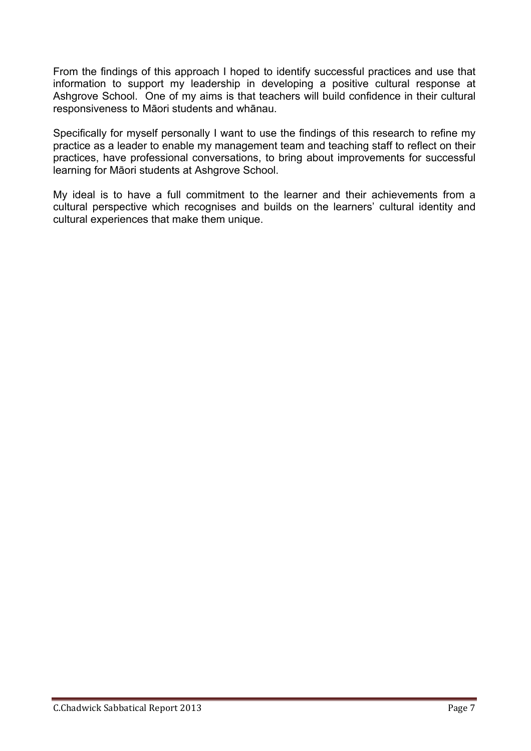From the findings of this approach I hoped to identify successful practices and use that information to support my leadership in developing a positive cultural response at Ashgrove School. One of my aims is that teachers will build confidence in their cultural responsiveness to Māori students and whānau.

Specifically for myself personally I want to use the findings of this research to refine my practice as a leader to enable my management team and teaching staff to reflect on their practices, have professional conversations, to bring about improvements for successful learning for Māori students at Ashgrove School.

My ideal is to have a full commitment to the learner and their achievements from a cultural perspective which recognises and builds on the learners' cultural identity and cultural experiences that make them unique.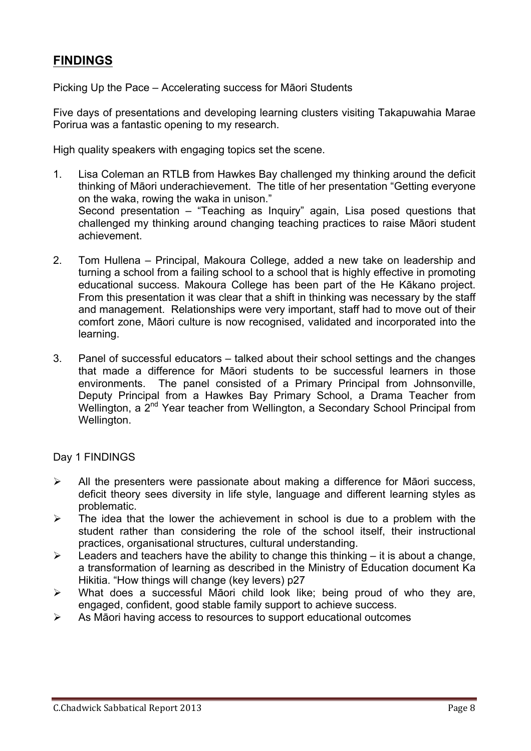# **FINDINGS**

Picking Up the Pace – Accelerating success for Māori Students

Five days of presentations and developing learning clusters visiting Takapuwahia Marae Porirua was a fantastic opening to my research.

High quality speakers with engaging topics set the scene.

- 1. Lisa Coleman an RTLB from Hawkes Bay challenged my thinking around the deficit thinking of Māori underachievement. The title of her presentation "Getting everyone on the waka, rowing the waka in unison." Second presentation – "Teaching as Inquiry" again, Lisa posed questions that challenged my thinking around changing teaching practices to raise Māori student achievement.
- 2. Tom Hullena Principal, Makoura College, added a new take on leadership and turning a school from a failing school to a school that is highly effective in promoting educational success. Makoura College has been part of the He Kākano project. From this presentation it was clear that a shift in thinking was necessary by the staff and management. Relationships were very important, staff had to move out of their comfort zone, Māori culture is now recognised, validated and incorporated into the learning.
- 3. Panel of successful educators talked about their school settings and the changes that made a difference for Māori students to be successful learners in those environments. The panel consisted of a Primary Principal from Johnsonville, Deputy Principal from a Hawkes Bay Primary School, a Drama Teacher from Wellington, a 2<sup>nd</sup> Year teacher from Wellington, a Secondary School Principal from Wellington.

Day 1 FINDINGS

- $\triangleright$  All the presenters were passionate about making a difference for Māori success, deficit theory sees diversity in life style, language and different learning styles as problematic.
- $\triangleright$  The idea that the lower the achievement in school is due to a problem with the student rather than considering the role of the school itself, their instructional practices, organisational structures, cultural understanding.
- $\geq$  Leaders and teachers have the ability to change this thinking it is about a change, a transformation of learning as described in the Ministry of Education document Ka Hikitia. "How things will change (key levers) p27
- $\triangleright$  What does a successful Māori child look like; being proud of who they are, engaged, confident, good stable family support to achieve success.
- $\triangleright$  As Māori having access to resources to support educational outcomes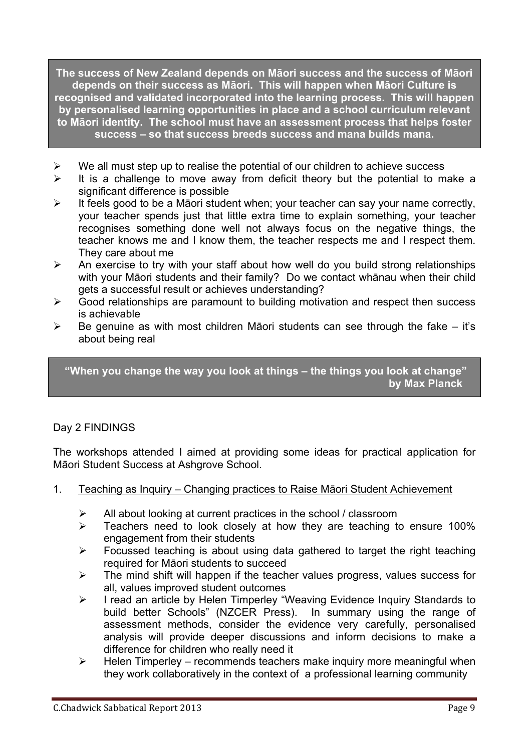**The success of New Zealand depends on Māori success and the success of Māori depends on their success as Māori. This will happen when Māori Culture is recognised and validated incorporated into the learning process. This will happen by personalised learning opportunities in place and a school curriculum relevant to Māori identity. The school must have an assessment process that helps foster success – so that success breeds success and mana builds mana.**

- $\triangleright$  We all must step up to realise the potential of our children to achieve success
- $\triangleright$  It is a challenge to move away from deficit theory but the potential to make a significant difference is possible
- $\triangleright$  It feels good to be a Māori student when; your teacher can say your name correctly, your teacher spends just that little extra time to explain something, your teacher recognises something done well not always focus on the negative things, the teacher knows me and I know them, the teacher respects me and I respect them. They care about me
- $\triangleright$  An exercise to try with your staff about how well do you build strong relationships with your Māori students and their family? Do we contact whānau when their child gets a successful result or achieves understanding?
- $\triangleright$  Good relationships are paramount to building motivation and respect then success is achievable
- $\triangleright$  Be genuine as with most children Māori students can see through the fake it's about being real

**"When you change the way you look at things – the things you look at change" by Max Planck**

## Day 2 FINDINGS

The workshops attended I aimed at providing some ideas for practical application for Māori Student Success at Ashgrove School.

- 1. Teaching as Inquiry Changing practices to Raise Māori Student Achievement
	- $\triangleright$  All about looking at current practices in the school / classroom
	- $\triangleright$  Teachers need to look closely at how they are teaching to ensure 100% engagement from their students
	- $\triangleright$  Focussed teaching is about using data gathered to target the right teaching required for Māori students to succeed
	- $\triangleright$  The mind shift will happen if the teacher values progress, values success for all, values improved student outcomes
	- > I read an article by Helen Timperley "Weaving Evidence Inquiry Standards to build better Schools" (NZCER Press). In summary using the range of assessment methods, consider the evidence very carefully, personalised analysis will provide deeper discussions and inform decisions to make a difference for children who really need it
	- $\triangleright$  Helen Timperley recommends teachers make inquiry more meaningful when they work collaboratively in the context of a professional learning community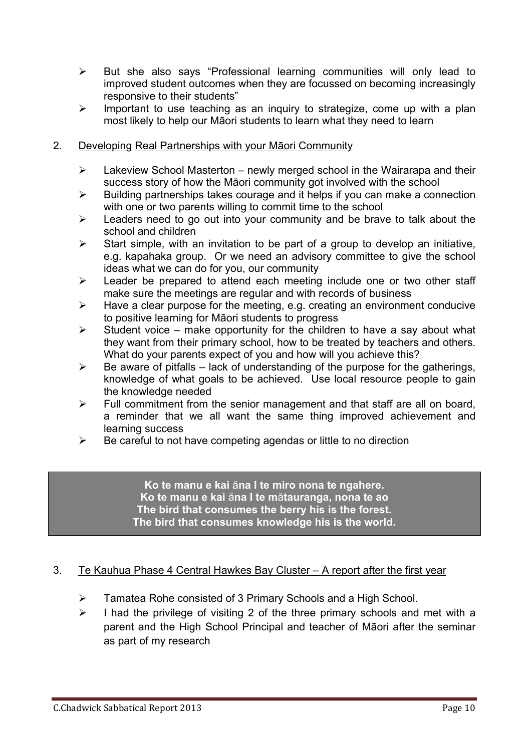- $\triangleright$  But she also says "Professional learning communities will only lead to improved student outcomes when they are focussed on becoming increasingly responsive to their students"
- $\triangleright$  Important to use teaching as an inquiry to strategize, come up with a plan most likely to help our Māori students to learn what they need to learn

#### 2. Developing Real Partnerships with your Māori Community

- $\triangleright$  Lakeview School Masterton newly merged school in the Wairarapa and their success story of how the Māori community got involved with the school
- $\triangleright$  Building partnerships takes courage and it helps if you can make a connection with one or two parents willing to commit time to the school
- $\triangleright$  Leaders need to go out into your community and be brave to talk about the school and children
- $\triangleright$  Start simple, with an invitation to be part of a group to develop an initiative, e.g. kapahaka group. Or we need an advisory committee to give the school ideas what we can do for you, our community
- $\triangleright$  Leader be prepared to attend each meeting include one or two other staff make sure the meetings are regular and with records of business
- $\triangleright$  Have a clear purpose for the meeting, e.g. creating an environment conducive to positive learning for Māori students to progress
- $\triangleright$  Student voice make opportunity for the children to have a say about what they want from their primary school, how to be treated by teachers and others. What do your parents expect of you and how will you achieve this?
- $\triangleright$  Be aware of pitfalls lack of understanding of the purpose for the gatherings, knowledge of what goals to be achieved. Use local resource people to gain the knowledge needed
- $\triangleright$  Full commitment from the senior management and that staff are all on board, a reminder that we all want the same thing improved achievement and learning success
- $\triangleright$  Be careful to not have competing agendas or little to no direction

**Ko te manu e kai** ā**na I te miro nona te ngahere. Ko te manu e kai** ā**na I te m**ā**tauranga, nona te ao The bird that consumes the berry his is the forest. The bird that consumes knowledge his is the world.**

### 3. Te Kauhua Phase 4 Central Hawkes Bay Cluster – A report after the first year

- $\triangleright$  Tamatea Rohe consisted of 3 Primary Schools and a High School.
- $\triangleright$  I had the privilege of visiting 2 of the three primary schools and met with a parent and the High School Principal and teacher of Māori after the seminar as part of my research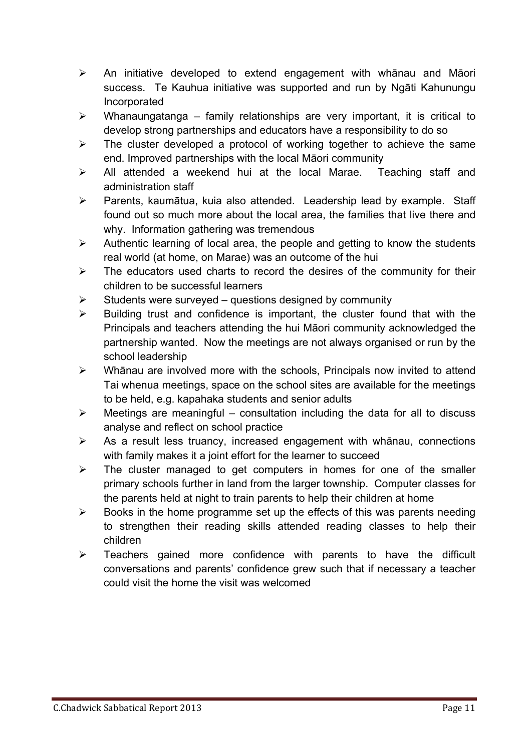- $\triangleright$  An initiative developed to extend engagement with whānau and Māori success. Te Kauhua initiative was supported and run by Ngāti Kahunungu Incorporated
- $\triangleright$  Whanaungatanga family relationships are very important, it is critical to develop strong partnerships and educators have a responsibility to do so
- $\triangleright$  The cluster developed a protocol of working together to achieve the same end. Improved partnerships with the local Māori community
- $\triangleright$  All attended a weekend hui at the local Marae. Teaching staff and administration staff
- $\triangleright$  Parents, kaumātua, kuia also attended. Leadership lead by example. Staff found out so much more about the local area, the families that live there and why. Information gathering was tremendous
- $\triangleright$  Authentic learning of local area, the people and getting to know the students real world (at home, on Marae) was an outcome of the hui
- $\triangleright$  The educators used charts to record the desires of the community for their children to be successful learners
- $\triangleright$  Students were surveyed questions designed by community
- $\triangleright$  Building trust and confidence is important, the cluster found that with the Principals and teachers attending the hui Māori community acknowledged the partnership wanted. Now the meetings are not always organised or run by the school leadership
- $\triangleright$  Whānau are involved more with the schools, Principals now invited to attend Tai whenua meetings, space on the school sites are available for the meetings to be held, e.g. kapahaka students and senior adults
- $\triangleright$  Meetings are meaningful consultation including the data for all to discuss analyse and reflect on school practice
- $\triangleright$  As a result less truancy, increased engagement with whanau, connections with family makes it a joint effort for the learner to succeed
- $\triangleright$  The cluster managed to get computers in homes for one of the smaller primary schools further in land from the larger township. Computer classes for the parents held at night to train parents to help their children at home
- $\triangleright$  Books in the home programme set up the effects of this was parents needing to strengthen their reading skills attended reading classes to help their children
- $\triangleright$  Teachers gained more confidence with parents to have the difficult conversations and parents' confidence grew such that if necessary a teacher could visit the home the visit was welcomed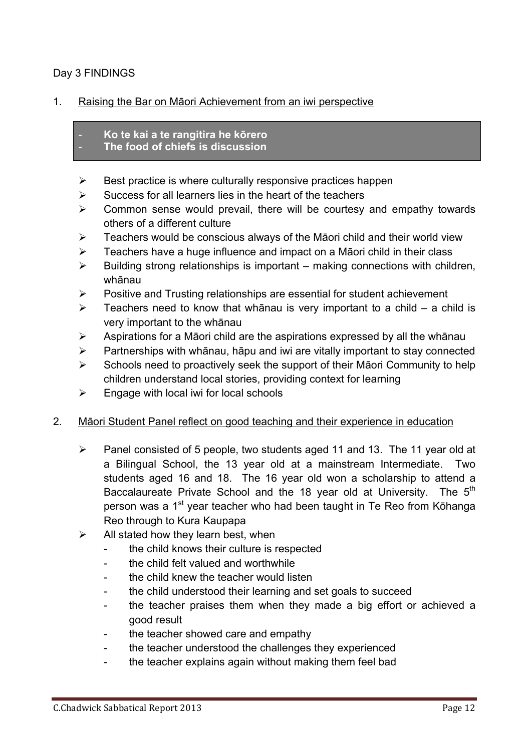### Day 3 FINDINGS

#### 1. Raising the Bar on Māori Achievement from an iwi perspective

- **Ko te kai a te rangitira he kōrero**
- **The food of chiefs is discussion**
- $\triangleright$  Best practice is where culturally responsive practices happen
- $\triangleright$  Success for all learners lies in the heart of the teachers
- $\triangleright$  Common sense would prevail, there will be courtesy and empathy towards others of a different culture
- $\triangleright$  Teachers would be conscious always of the Māori child and their world view
- $\triangleright$  Teachers have a huge influence and impact on a Māori child in their class
- $\triangleright$  Building strong relationships is important making connections with children, whānau
- $\triangleright$  Positive and Trusting relationships are essential for student achievement
- $\geq$  Teachers need to know that whānau is very important to a child a child is very important to the whānau
- $\triangleright$  Aspirations for a Māori child are the aspirations expressed by all the whānau
- $\triangleright$  Partnerships with whānau, hāpu and iwi are vitally important to stay connected
- $\triangleright$  Schools need to proactively seek the support of their Māori Community to help children understand local stories, providing context for learning
- $\triangleright$  Engage with local iwi for local schools

### 2. Māori Student Panel reflect on good teaching and their experience in education

- $\triangleright$  Panel consisted of 5 people, two students aged 11 and 13. The 11 year old at a Bilingual School, the 13 year old at a mainstream Intermediate. Two students aged 16 and 18. The 16 year old won a scholarship to attend a Baccalaureate Private School and the 18 year old at University. The  $5<sup>th</sup>$ person was a 1<sup>st</sup> year teacher who had been taught in Te Reo from Kōhanga Reo through to Kura Kaupapa
- $\triangleright$  All stated how they learn best, when
	- the child knows their culture is respected
	- the child felt valued and worthwhile
	- the child knew the teacher would listen
	- the child understood their learning and set goals to succeed
	- the teacher praises them when they made a big effort or achieved a good result
	- the teacher showed care and empathy
	- the teacher understood the challenges they experienced
	- the teacher explains again without making them feel bad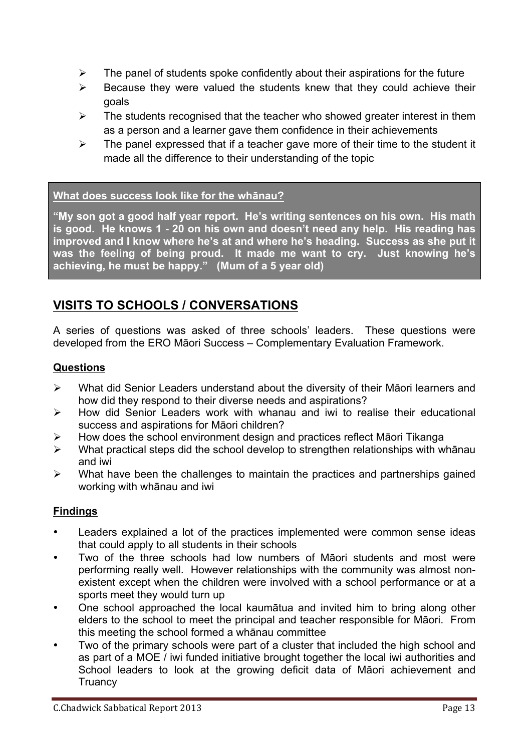- $\triangleright$  The panel of students spoke confidently about their aspirations for the future
- $\triangleright$  Because they were valued the students knew that they could achieve their goals
- $\triangleright$  The students recognised that the teacher who showed greater interest in them as a person and a learner gave them confidence in their achievements
- $\triangleright$  The panel expressed that if a teacher gave more of their time to the student it made all the difference to their understanding of the topic

### **What does success look like for the whānau?**

**"My son got a good half year report. He's writing sentences on his own. His math is good. He knows 1 - 20 on his own and doesn't need any help. His reading has improved and I know where he's at and where he's heading. Success as she put it was the feeling of being proud. It made me want to cry. Just knowing he's achieving, he must be happy." (Mum of a 5 year old)**

# **VISITS TO SCHOOLS / CONVERSATIONS**

A series of questions was asked of three schools' leaders. These questions were developed from the ERO Māori Success – Complementary Evaluation Framework.

### **Questions**

- $\triangleright$  What did Senior Leaders understand about the diversity of their Māori learners and how did they respond to their diverse needs and aspirations?
- $\triangleright$  How did Senior Leaders work with whanau and iwi to realise their educational success and aspirations for Māori children?
- $\triangleright$  How does the school environment design and practices reflect Māori Tikanga
- $\triangleright$  What practical steps did the school develop to strengthen relationships with whānau and iwi
- $\triangleright$  What have been the challenges to maintain the practices and partnerships gained working with whānau and iwi

### **Findings**

- Leaders explained a lot of the practices implemented were common sense ideas that could apply to all students in their schools
- Two of the three schools had low numbers of Māori students and most were performing really well. However relationships with the community was almost nonexistent except when the children were involved with a school performance or at a sports meet they would turn up
- One school approached the local kaumātua and invited him to bring along other elders to the school to meet the principal and teacher responsible for Māori. From this meeting the school formed a whānau committee
- Two of the primary schools were part of a cluster that included the high school and as part of a MOE / iwi funded initiative brought together the local iwi authorities and School leaders to look at the growing deficit data of Māori achievement and **Truancy**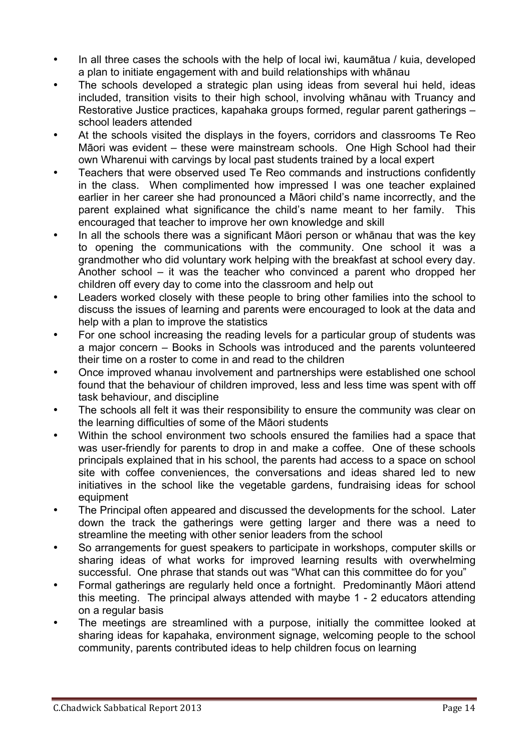- In all three cases the schools with the help of local iwi, kaumātua / kuia, developed a plan to initiate engagement with and build relationships with whānau
- The schools developed a strategic plan using ideas from several hui held, ideas included, transition visits to their high school, involving whānau with Truancy and Restorative Justice practices, kapahaka groups formed, regular parent gatherings – school leaders attended
- At the schools visited the displays in the foyers, corridors and classrooms Te Reo Māori was evident – these were mainstream schools. One High School had their own Wharenui with carvings by local past students trained by a local expert
- Teachers that were observed used Te Reo commands and instructions confidently in the class. When complimented how impressed I was one teacher explained earlier in her career she had pronounced a Māori child's name incorrectly, and the parent explained what significance the child's name meant to her family. This encouraged that teacher to improve her own knowledge and skill
- In all the schools there was a significant Māori person or whānau that was the key to opening the communications with the community. One school it was a grandmother who did voluntary work helping with the breakfast at school every day. Another school – it was the teacher who convinced a parent who dropped her children off every day to come into the classroom and help out
- Leaders worked closely with these people to bring other families into the school to discuss the issues of learning and parents were encouraged to look at the data and help with a plan to improve the statistics
- For one school increasing the reading levels for a particular group of students was a major concern – Books in Schools was introduced and the parents volunteered their time on a roster to come in and read to the children
- Once improved whanau involvement and partnerships were established one school found that the behaviour of children improved, less and less time was spent with off task behaviour, and discipline
- The schools all felt it was their responsibility to ensure the community was clear on the learning difficulties of some of the Māori students
- Within the school environment two schools ensured the families had a space that was user-friendly for parents to drop in and make a coffee. One of these schools principals explained that in his school, the parents had access to a space on school site with coffee conveniences, the conversations and ideas shared led to new initiatives in the school like the vegetable gardens, fundraising ideas for school equipment
- The Principal often appeared and discussed the developments for the school. Later down the track the gatherings were getting larger and there was a need to streamline the meeting with other senior leaders from the school
- So arrangements for guest speakers to participate in workshops, computer skills or sharing ideas of what works for improved learning results with overwhelming successful. One phrase that stands out was "What can this committee do for you"
- Formal gatherings are regularly held once a fortnight. Predominantly Māori attend this meeting. The principal always attended with maybe 1 - 2 educators attending on a regular basis
- The meetings are streamlined with a purpose, initially the committee looked at sharing ideas for kapahaka, environment signage, welcoming people to the school community, parents contributed ideas to help children focus on learning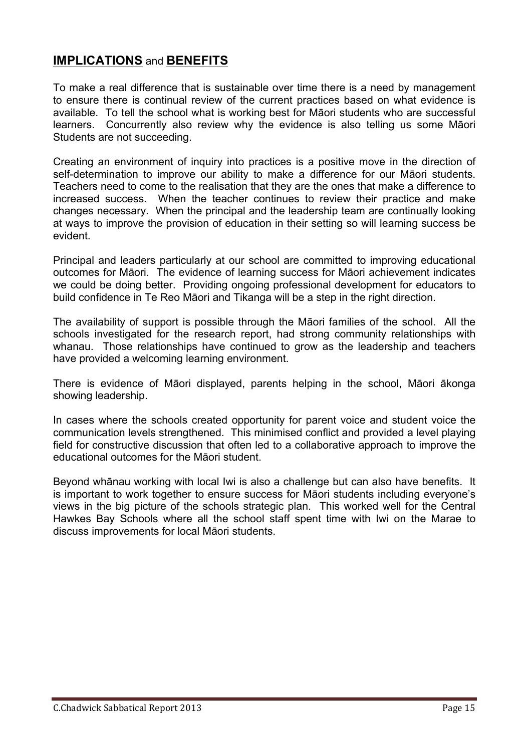## **IMPLICATIONS** and **BENEFITS**

To make a real difference that is sustainable over time there is a need by management to ensure there is continual review of the current practices based on what evidence is available. To tell the school what is working best for Māori students who are successful learners. Concurrently also review why the evidence is also telling us some Māori Students are not succeeding.

Creating an environment of inquiry into practices is a positive move in the direction of self-determination to improve our ability to make a difference for our Māori students. Teachers need to come to the realisation that they are the ones that make a difference to increased success. When the teacher continues to review their practice and make changes necessary. When the principal and the leadership team are continually looking at ways to improve the provision of education in their setting so will learning success be evident.

Principal and leaders particularly at our school are committed to improving educational outcomes for Māori. The evidence of learning success for Māori achievement indicates we could be doing better. Providing ongoing professional development for educators to build confidence in Te Reo Māori and Tikanga will be a step in the right direction.

The availability of support is possible through the Māori families of the school. All the schools investigated for the research report, had strong community relationships with whanau. Those relationships have continued to grow as the leadership and teachers have provided a welcoming learning environment.

There is evidence of Māori displayed, parents helping in the school, Māori ākonga showing leadership.

In cases where the schools created opportunity for parent voice and student voice the communication levels strengthened. This minimised conflict and provided a level playing field for constructive discussion that often led to a collaborative approach to improve the educational outcomes for the Māori student.

Beyond whānau working with local Iwi is also a challenge but can also have benefits. It is important to work together to ensure success for Māori students including everyone's views in the big picture of the schools strategic plan. This worked well for the Central Hawkes Bay Schools where all the school staff spent time with Iwi on the Marae to discuss improvements for local Māori students.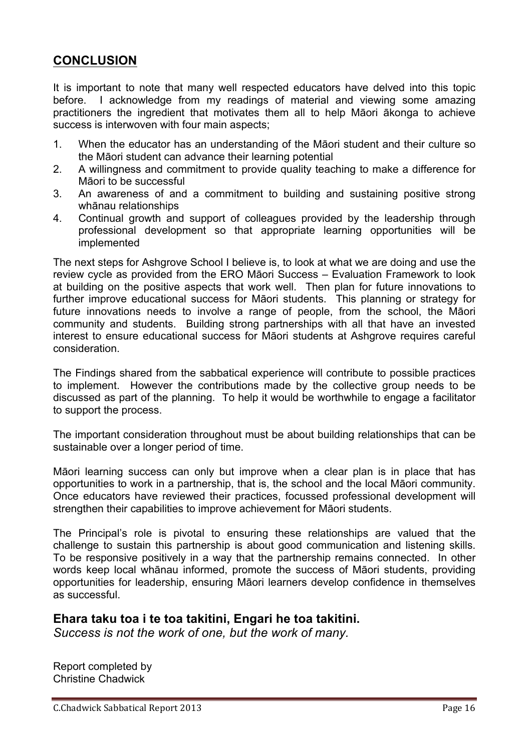# **CONCLUSION**

It is important to note that many well respected educators have delved into this topic before. I acknowledge from my readings of material and viewing some amazing practitioners the ingredient that motivates them all to help Māori ākonga to achieve success is interwoven with four main aspects;

- 1. When the educator has an understanding of the Māori student and their culture so the Māori student can advance their learning potential
- 2. A willingness and commitment to provide quality teaching to make a difference for Māori to be successful
- 3. An awareness of and a commitment to building and sustaining positive strong whānau relationships
- 4. Continual growth and support of colleagues provided by the leadership through professional development so that appropriate learning opportunities will be implemented

The next steps for Ashgrove School I believe is, to look at what we are doing and use the review cycle as provided from the ERO Māori Success – Evaluation Framework to look at building on the positive aspects that work well. Then plan for future innovations to further improve educational success for Māori students. This planning or strategy for future innovations needs to involve a range of people, from the school, the Māori community and students. Building strong partnerships with all that have an invested interest to ensure educational success for Māori students at Ashgrove requires careful consideration.

The Findings shared from the sabbatical experience will contribute to possible practices to implement. However the contributions made by the collective group needs to be discussed as part of the planning. To help it would be worthwhile to engage a facilitator to support the process.

The important consideration throughout must be about building relationships that can be sustainable over a longer period of time.

Māori learning success can only but improve when a clear plan is in place that has opportunities to work in a partnership, that is, the school and the local Māori community. Once educators have reviewed their practices, focussed professional development will strengthen their capabilities to improve achievement for Māori students.

The Principal's role is pivotal to ensuring these relationships are valued that the challenge to sustain this partnership is about good communication and listening skills. To be responsive positively in a way that the partnership remains connected. In other words keep local whānau informed, promote the success of Māori students, providing opportunities for leadership, ensuring Māori learners develop confidence in themselves as successful.

## **Ehara taku toa i te toa takitini, Engari he toa takitini.**

*Success is not the work of one, but the work of many.*

Report completed by Christine Chadwick